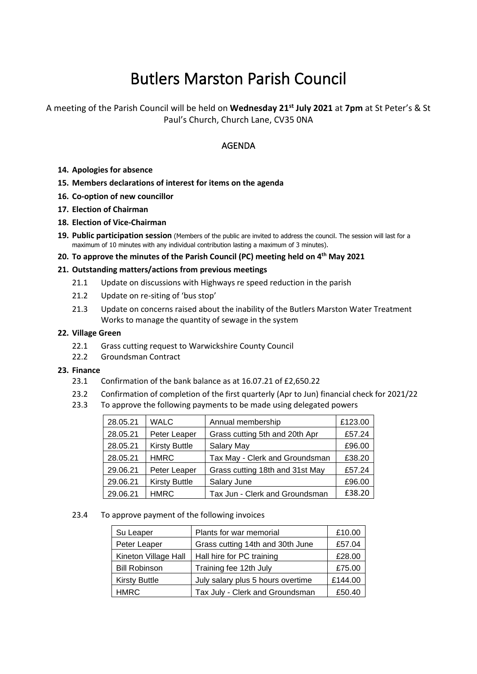# Butlers Marston Parish Council

A meeting of the Parish Council will be held on **Wednesday 21st July 2021** at **7pm** at St Peter's & St Paul's Church, Church Lane, CV35 0NA

# AGENDA

- **14. Apologies for absence**
- **15. Members declarations of interest for items on the agenda**
- **16. Co-option of new councillor**
- **17. Election of Chairman**
- **18. Election of Vice-Chairman**
- **19. Public participation session** (Members of the public are invited to address the council. The session will last for a maximum of 10 minutes with any individual contribution lasting a maximum of 3 minutes).

## **20. To approve the minutes of the Parish Council (PC) meeting held on 4 th May 2021**

#### **21. Outstanding matters/actions from previous meetings**

- 21.1 Update on discussions with Highways re speed reduction in the parish
- 21.2 Update on re-siting of 'bus stop'
- 21.3 Update on concerns raised about the inability of the Butlers Marston Water Treatment Works to manage the quantity of sewage in the system

#### **22. Village Green**

- 22.1 Grass cutting request to Warwickshire County Council
- 22.2 Groundsman Contract

#### **23. Finance**

- 23.1 Confirmation of the bank balance as at 16.07.21 of £2,650.22
- 23.2 Confirmation of completion of the first quarterly (Apr to Jun) financial check for 2021/22
- 23.3 To approve the following payments to be made using delegated powers

| 28.05.21 | <b>WALC</b>          | Annual membership               | £123.00 |
|----------|----------------------|---------------------------------|---------|
| 28.05.21 | Peter Leaper         | Grass cutting 5th and 20th Apr  | £57.24  |
| 28.05.21 | <b>Kirsty Buttle</b> | Salary May                      | £96.00  |
| 28.05.21 | <b>HMRC</b>          | Tax May - Clerk and Groundsman  | £38.20  |
| 29.06.21 | Peter Leaper         | Grass cutting 18th and 31st May | £57.24  |
| 29.06.21 | <b>Kirsty Buttle</b> | Salary June                     | £96.00  |
| 29.06.21 | <b>HMRC</b>          | Tax Jun - Clerk and Groundsman  | £38.20  |

#### 23.4 To approve payment of the following invoices

| Su Leaper            | Plants for war memorial           | £10.00  |
|----------------------|-----------------------------------|---------|
| Peter Leaper         | Grass cutting 14th and 30th June  | £57.04  |
| Kineton Village Hall | Hall hire for PC training         | £28.00  |
| <b>Bill Robinson</b> | Training fee 12th July            | £75.00  |
| <b>Kirsty Buttle</b> | July salary plus 5 hours overtime | £144.00 |
| <b>HMRC</b>          | Tax July - Clerk and Groundsman   | £50.40  |